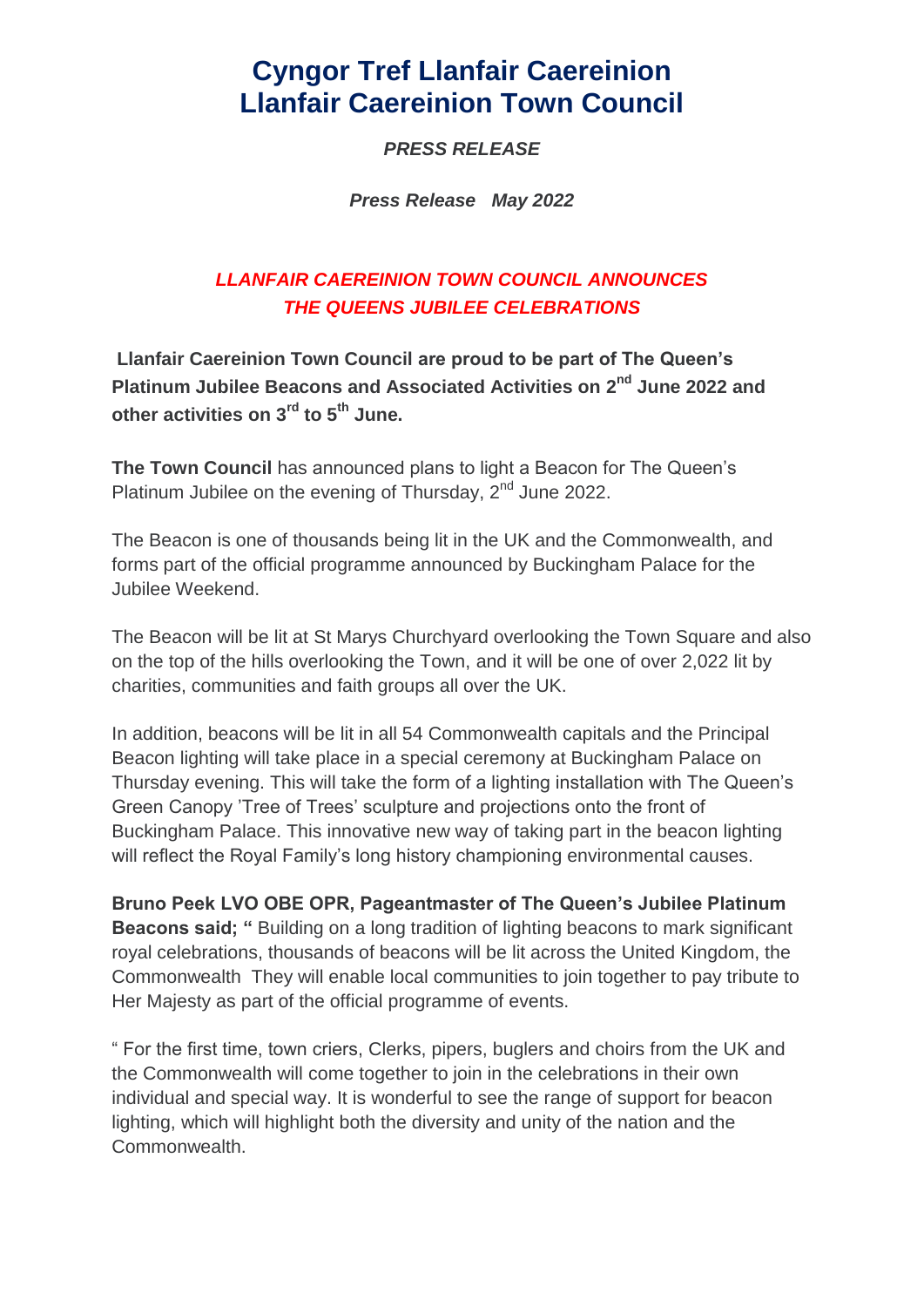# **Cyngor Tref Llanfair Caereinion Llanfair Caereinion Town Council**

### *PRESS RELEASE*

*Press Release May 2022*

## *LLANFAIR CAEREINION TOWN COUNCIL ANNOUNCES THE QUEENS JUBILEE CELEBRATIONS*

**Llanfair Caereinion Town Council are proud to be part of The Queen's Platinum Jubilee Beacons and Associated Activities on 2 nd June 2022 and other activities on 3rd to 5th June.**

**The Town Council** has announced plans to light a Beacon for The Queen's Platinum Jubilee on the evening of Thursday, 2<sup>nd</sup> June 2022.

The Beacon is one of thousands being lit in the UK and the Commonwealth, and forms part of the official programme announced by Buckingham Palace for the Jubilee Weekend.

The Beacon will be lit at St Marys Churchyard overlooking the Town Square and also on the top of the hills overlooking the Town, and it will be one of over 2,022 lit by charities, communities and faith groups all over the UK.

In addition, beacons will be lit in all 54 Commonwealth capitals and the Principal Beacon lighting will take place in a special ceremony at Buckingham Palace on Thursday evening. This will take the form of a lighting installation with The Queen's Green Canopy 'Tree of Trees' sculpture and projections onto the front of Buckingham Palace. This innovative new way of taking part in the beacon lighting will reflect the Royal Family's long history championing environmental causes.

**Bruno Peek LVO OBE OPR, Pageantmaster of The Queen's Jubilee Platinum Beacons said; "** Building on a long tradition of lighting beacons to mark significant royal celebrations, thousands of beacons will be lit across the United Kingdom, the Commonwealth They will enable local communities to join together to pay tribute to Her Majesty as part of the official programme of events.

" For the first time, town criers, Clerks, pipers, buglers and choirs from the UK and the Commonwealth will come together to join in the celebrations in their own individual and special way. It is wonderful to see the range of support for beacon lighting, which will highlight both the diversity and unity of the nation and the Commonwealth.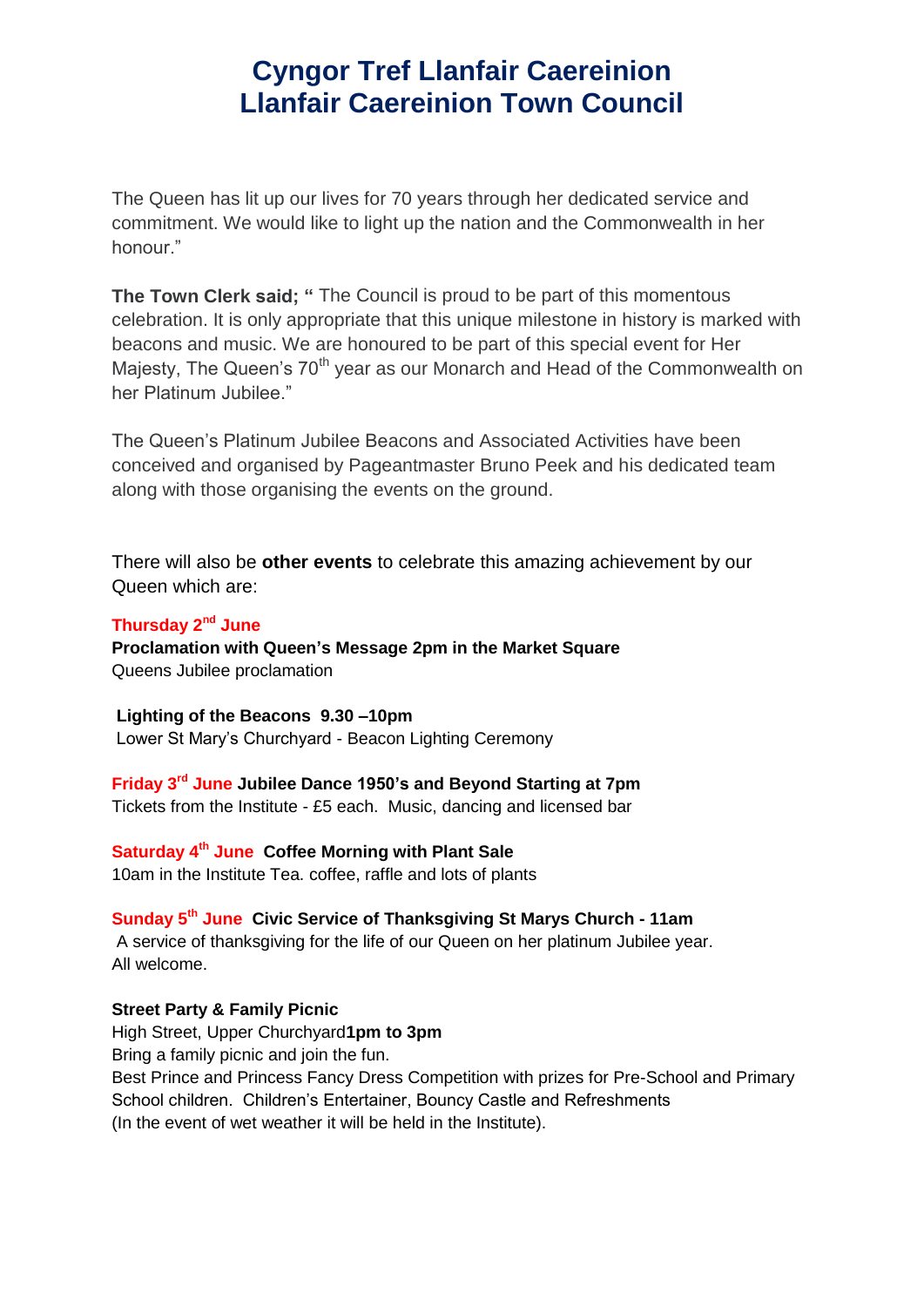## **Cyngor Tref Llanfair Caereinion Llanfair Caereinion Town Council**

The Queen has lit up our lives for 70 years through her dedicated service and commitment. We would like to light up the nation and the Commonwealth in her honour."

**The Town Clerk said; "** The Council is proud to be part of this momentous celebration. It is only appropriate that this unique milestone in history is marked with beacons and music. We are honoured to be part of this special event for Her Majesty, The Queen's 70<sup>th</sup> year as our Monarch and Head of the Commonwealth on her Platinum Jubilee."

The Queen's Platinum Jubilee Beacons and Associated Activities have been conceived and organised by Pageantmaster Bruno Peek and his dedicated team along with those organising the events on the ground.

There will also be **other events** to celebrate this amazing achievement by our Queen which are:

#### **Thursday 2nd June**

**Proclamation with Queen's Message 2pm in the Market Square** Queens Jubilee proclamation

### **Lighting of the Beacons 9.30 –10pm**

Lower St Mary's Churchyard - Beacon Lighting Ceremony

#### **Friday 3rd June Jubilee Dance 1950's and Beyond Starting at 7pm**

Tickets from the Institute - £5 each. Music, dancing and licensed bar

### **Saturday 4th June Coffee Morning with Plant Sale**

10am in the Institute Tea. coffee, raffle and lots of plants

### **Sunday 5th June Civic Service of Thanksgiving St Marys Church - 11am**

A service of thanksgiving for the life of our Queen on her platinum Jubilee year. All welcome.

#### **Street Party & Family Picnic**

High Street, Upper Churchyard**1pm to 3pm** Bring a family picnic and join the fun. Best Prince and Princess Fancy Dress Competition with prizes for Pre-School and Primary School children. Children's Entertainer, Bouncy Castle and Refreshments (In the event of wet weather it will be held in the Institute).